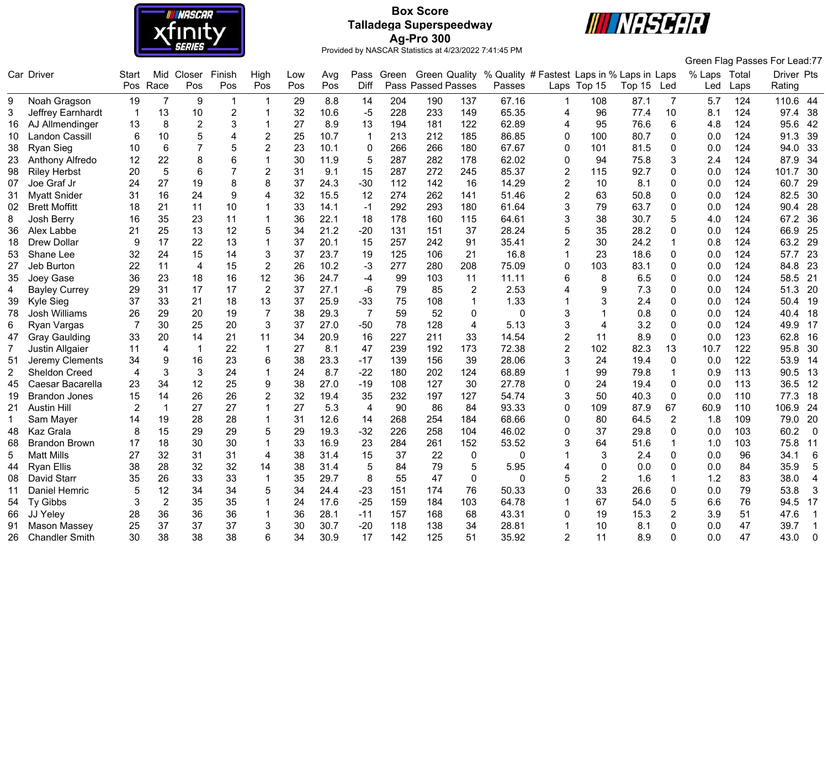

# **Box Score Talladega Superspeedway Ag-Pro 300**



| Closer<br>Finish<br>High<br>% Quality # Fastest Laps in % Laps in Laps<br>% Laps Total<br>Car Driver<br>Mid<br>Pass Green<br>Green Quality<br>Start<br>Low<br>Avg<br>Pos<br>Pos<br>Pos<br><b>Pass Passed Passes</b><br>Pos<br>Race<br>Pos<br>Pos<br>Diff<br>Laps Top 15<br>Passes<br>Top 15<br>Led<br>Rating<br>Led<br>Laps<br>29<br>8.8<br>14<br>204<br>190<br>67.16<br>Noah Gragson<br>19<br>$\overline{7}$<br>9<br>137<br>108<br>87.1<br>$\overline{7}$<br>5.7<br>124<br>110.6<br>-1<br>9<br>32<br>$-5$<br>228<br>149<br>65.35<br>Jeffrey Earnhardt<br>13<br>10<br>$\overline{2}$<br>10.6<br>233<br>96<br>77.4<br>10<br>124<br>97.4<br>3<br>$\overline{4}$<br>8.1<br>-1<br>$\overline{c}$<br>3<br>27<br>62.89<br>6<br>13<br>8<br>8.9<br>13<br>194<br>181<br>122<br>95<br>76.6<br>124<br>AJ Allmendinger<br>4<br>4.8<br>95.6<br>16<br>5<br>25<br>10.7<br>213<br>212<br>185<br>86.85<br>80.7<br>124<br>Landon Cassill<br>6<br>10<br>$\overline{2}$<br>$\mathbf{1}$<br>$\Omega$<br>100<br>0<br>0.0<br>91.3<br>10 <sup>°</sup><br>4<br>$\overline{7}$<br>$\overline{2}$<br>266<br>67.67<br>6<br>5<br>23<br>10.1<br>$\mathbf 0$<br>266<br>180<br>0<br>101<br>81.5<br>0.0<br>124<br>94.0<br><b>Ryan Sieg</b><br>10<br>0<br>38<br>8<br>6<br>5<br>62.02<br>22<br>30<br>11.9<br>287<br>282<br>178<br>0<br>94<br>75.8<br>2.4<br>124<br>87.9<br>Anthony Alfredo<br>12<br>3<br>23<br>5<br>85.37<br>6<br>$\overline{7}$<br>$\overline{2}$<br>31<br>9.1<br>15<br>287<br>272<br>245<br>115<br>92.7<br>124<br><b>Riley Herbst</b><br>20<br>$\overline{2}$<br>0<br>0.0<br>101.7<br>98<br>24<br>27<br>19<br>8<br>8<br>37<br>24.3<br>$-30$<br>112<br>16<br>14.29<br>$\overline{2}$<br>10<br>8.1<br>124<br>Joe Graf Jr<br>142<br>0<br>0.0<br>60.7<br>07<br><b>Myatt Snider</b><br>31<br>16<br>24<br>32<br>274<br>262<br>$\overline{2}$<br>63<br>50.8<br>124<br>31<br>9<br>15.5<br>12<br>141<br>51.46<br>0<br>0.0<br>82.5<br>4<br>3<br><b>Brett Moffitt</b><br>21<br>10<br>33<br>14.1<br>292<br>293<br>180<br>61.64<br>79<br>63.7<br>0.0<br>124<br>90.4<br>02<br>18<br>11<br>$-1$<br>0 | Green Flag Passes For Lead:77 |
|----------------------------------------------------------------------------------------------------------------------------------------------------------------------------------------------------------------------------------------------------------------------------------------------------------------------------------------------------------------------------------------------------------------------------------------------------------------------------------------------------------------------------------------------------------------------------------------------------------------------------------------------------------------------------------------------------------------------------------------------------------------------------------------------------------------------------------------------------------------------------------------------------------------------------------------------------------------------------------------------------------------------------------------------------------------------------------------------------------------------------------------------------------------------------------------------------------------------------------------------------------------------------------------------------------------------------------------------------------------------------------------------------------------------------------------------------------------------------------------------------------------------------------------------------------------------------------------------------------------------------------------------------------------------------------------------------------------------------------------------------------------------------------------------------------------------------------------------------------------------------------------------------------------------------------------------------------------------------------------------------------------------------------------------------------------------|-------------------------------|
|                                                                                                                                                                                                                                                                                                                                                                                                                                                                                                                                                                                                                                                                                                                                                                                                                                                                                                                                                                                                                                                                                                                                                                                                                                                                                                                                                                                                                                                                                                                                                                                                                                                                                                                                                                                                                                                                                                                                                                                                                                                                      | Driver Pts                    |
|                                                                                                                                                                                                                                                                                                                                                                                                                                                                                                                                                                                                                                                                                                                                                                                                                                                                                                                                                                                                                                                                                                                                                                                                                                                                                                                                                                                                                                                                                                                                                                                                                                                                                                                                                                                                                                                                                                                                                                                                                                                                      |                               |
|                                                                                                                                                                                                                                                                                                                                                                                                                                                                                                                                                                                                                                                                                                                                                                                                                                                                                                                                                                                                                                                                                                                                                                                                                                                                                                                                                                                                                                                                                                                                                                                                                                                                                                                                                                                                                                                                                                                                                                                                                                                                      | -44                           |
|                                                                                                                                                                                                                                                                                                                                                                                                                                                                                                                                                                                                                                                                                                                                                                                                                                                                                                                                                                                                                                                                                                                                                                                                                                                                                                                                                                                                                                                                                                                                                                                                                                                                                                                                                                                                                                                                                                                                                                                                                                                                      | 38                            |
|                                                                                                                                                                                                                                                                                                                                                                                                                                                                                                                                                                                                                                                                                                                                                                                                                                                                                                                                                                                                                                                                                                                                                                                                                                                                                                                                                                                                                                                                                                                                                                                                                                                                                                                                                                                                                                                                                                                                                                                                                                                                      | 42                            |
|                                                                                                                                                                                                                                                                                                                                                                                                                                                                                                                                                                                                                                                                                                                                                                                                                                                                                                                                                                                                                                                                                                                                                                                                                                                                                                                                                                                                                                                                                                                                                                                                                                                                                                                                                                                                                                                                                                                                                                                                                                                                      | 39                            |
|                                                                                                                                                                                                                                                                                                                                                                                                                                                                                                                                                                                                                                                                                                                                                                                                                                                                                                                                                                                                                                                                                                                                                                                                                                                                                                                                                                                                                                                                                                                                                                                                                                                                                                                                                                                                                                                                                                                                                                                                                                                                      | 33                            |
|                                                                                                                                                                                                                                                                                                                                                                                                                                                                                                                                                                                                                                                                                                                                                                                                                                                                                                                                                                                                                                                                                                                                                                                                                                                                                                                                                                                                                                                                                                                                                                                                                                                                                                                                                                                                                                                                                                                                                                                                                                                                      | 34                            |
|                                                                                                                                                                                                                                                                                                                                                                                                                                                                                                                                                                                                                                                                                                                                                                                                                                                                                                                                                                                                                                                                                                                                                                                                                                                                                                                                                                                                                                                                                                                                                                                                                                                                                                                                                                                                                                                                                                                                                                                                                                                                      | 30                            |
|                                                                                                                                                                                                                                                                                                                                                                                                                                                                                                                                                                                                                                                                                                                                                                                                                                                                                                                                                                                                                                                                                                                                                                                                                                                                                                                                                                                                                                                                                                                                                                                                                                                                                                                                                                                                                                                                                                                                                                                                                                                                      | 29                            |
|                                                                                                                                                                                                                                                                                                                                                                                                                                                                                                                                                                                                                                                                                                                                                                                                                                                                                                                                                                                                                                                                                                                                                                                                                                                                                                                                                                                                                                                                                                                                                                                                                                                                                                                                                                                                                                                                                                                                                                                                                                                                      | 30                            |
|                                                                                                                                                                                                                                                                                                                                                                                                                                                                                                                                                                                                                                                                                                                                                                                                                                                                                                                                                                                                                                                                                                                                                                                                                                                                                                                                                                                                                                                                                                                                                                                                                                                                                                                                                                                                                                                                                                                                                                                                                                                                      | 28                            |
| 36<br>3<br>38<br>Josh Berry<br>16<br>35<br>23<br>11<br>22.1<br>18<br>178<br>160<br>115<br>64.61<br>30.7<br>5<br>4.0<br>124<br>67.2<br>8                                                                                                                                                                                                                                                                                                                                                                                                                                                                                                                                                                                                                                                                                                                                                                                                                                                                                                                                                                                                                                                                                                                                                                                                                                                                                                                                                                                                                                                                                                                                                                                                                                                                                                                                                                                                                                                                                                                              | 36                            |
| 12<br>34<br>21.2<br>$-20$<br>28.24<br>5<br>25<br>13<br>5<br>131<br>151<br>37<br>35<br>28.2<br>124<br>66.9<br>Alex Labbe<br>21<br>0<br>0.0<br>36                                                                                                                                                                                                                                                                                                                                                                                                                                                                                                                                                                                                                                                                                                                                                                                                                                                                                                                                                                                                                                                                                                                                                                                                                                                                                                                                                                                                                                                                                                                                                                                                                                                                                                                                                                                                                                                                                                                      | 25                            |
| 17<br>257<br>$\overline{2}$<br>124<br><b>Drew Dollar</b><br>9<br>22<br>13<br>37<br>20.1<br>15<br>242<br>91<br>35.41<br>30<br>24.2<br>0.8<br>63.2<br>18                                                                                                                                                                                                                                                                                                                                                                                                                                                                                                                                                                                                                                                                                                                                                                                                                                                                                                                                                                                                                                                                                                                                                                                                                                                                                                                                                                                                                                                                                                                                                                                                                                                                                                                                                                                                                                                                                                               | 29                            |
| 24<br>15<br>3<br>37<br>125<br>16.8<br>23<br>32<br>14<br>23.7<br>19<br>106<br>21<br>1<br>18.6<br>0<br>0.0<br>124<br>57.7<br>53<br>Shane Lee                                                                                                                                                                                                                                                                                                                                                                                                                                                                                                                                                                                                                                                                                                                                                                                                                                                                                                                                                                                                                                                                                                                                                                                                                                                                                                                                                                                                                                                                                                                                                                                                                                                                                                                                                                                                                                                                                                                           | 23                            |
| Jeb Burton<br>22<br>$\overline{2}$<br>26<br>10.2<br>277<br>208<br>75.09<br>103<br>124<br>84.8<br>11<br>4<br>15<br>-3<br>280<br>$\Omega$<br>83.1<br>0.0<br>27<br>0                                                                                                                                                                                                                                                                                                                                                                                                                                                                                                                                                                                                                                                                                                                                                                                                                                                                                                                                                                                                                                                                                                                                                                                                                                                                                                                                                                                                                                                                                                                                                                                                                                                                                                                                                                                                                                                                                                    | 23                            |
| 12<br>36<br>23<br>16<br>36<br>24.7<br>99<br>103<br>11<br>11.11<br>6<br>8<br>0.0<br>124<br>58.5<br>35<br>Joey Gase<br>18<br>$-4$<br>6.5<br>0                                                                                                                                                                                                                                                                                                                                                                                                                                                                                                                                                                                                                                                                                                                                                                                                                                                                                                                                                                                                                                                                                                                                                                                                                                                                                                                                                                                                                                                                                                                                                                                                                                                                                                                                                                                                                                                                                                                          | 21                            |
| $\overline{2}$<br>27.1<br>124<br>29<br>31<br>17<br>17<br>37<br>-6<br>79<br>85<br>$\overline{2}$<br>2.53<br>$\overline{4}$<br>9<br>7.3<br>0.0<br>51.3<br><b>Bayley Currey</b><br>$\Omega$<br>4                                                                                                                                                                                                                                                                                                                                                                                                                                                                                                                                                                                                                                                                                                                                                                                                                                                                                                                                                                                                                                                                                                                                                                                                                                                                                                                                                                                                                                                                                                                                                                                                                                                                                                                                                                                                                                                                        | 20                            |
| 37<br>33<br>21<br>18<br>13<br>37<br>25.9<br>$-33$<br>75<br>108<br>$\mathbf{1}$<br>1.33<br>3<br>2.4<br>124<br>Kyle Sieg<br>0<br>0.0<br>50.4<br>39                                                                                                                                                                                                                                                                                                                                                                                                                                                                                                                                                                                                                                                                                                                                                                                                                                                                                                                                                                                                                                                                                                                                                                                                                                                                                                                                                                                                                                                                                                                                                                                                                                                                                                                                                                                                                                                                                                                     | 19                            |
| $\overline{7}$<br>$\overline{7}$<br>26<br>29<br>20<br>19<br>38<br>29.3<br>59<br>52<br>3<br>0.8<br>124<br>Josh Williams<br>0<br>$\Omega$<br>0<br>0.0<br>40.4<br>78                                                                                                                                                                                                                                                                                                                                                                                                                                                                                                                                                                                                                                                                                                                                                                                                                                                                                                                                                                                                                                                                                                                                                                                                                                                                                                                                                                                                                                                                                                                                                                                                                                                                                                                                                                                                                                                                                                    | 18                            |
| 3<br>Ryan Vargas<br>$\overline{7}$<br>30<br>25<br>20<br>3<br>37<br>27.0<br>$-50$<br>78<br>128<br>$\overline{4}$<br>5.13<br>3.2<br>0.0<br>124<br>49.9<br>6<br>4<br>0                                                                                                                                                                                                                                                                                                                                                                                                                                                                                                                                                                                                                                                                                                                                                                                                                                                                                                                                                                                                                                                                                                                                                                                                                                                                                                                                                                                                                                                                                                                                                                                                                                                                                                                                                                                                                                                                                                  | 17                            |
| $\overline{2}$<br>20<br>21<br>34<br>20.9<br>16<br>227<br>14.54<br>8.9<br>0.0<br>123<br><b>Gray Gaulding</b><br>33<br>14<br>11<br>211<br>33<br>11<br>0<br>62.8<br>47                                                                                                                                                                                                                                                                                                                                                                                                                                                                                                                                                                                                                                                                                                                                                                                                                                                                                                                                                                                                                                                                                                                                                                                                                                                                                                                                                                                                                                                                                                                                                                                                                                                                                                                                                                                                                                                                                                  | 16                            |
| 239<br>$\overline{2}$<br>$\overline{1}$<br>22<br>27<br>8.1<br>47<br>192<br>173<br>72.38<br>102<br>82.3<br>10.7<br>122<br>95.8<br>$\overline{7}$<br><b>Justin Allgaier</b><br>11<br>4<br>$\mathbf 1$<br>13                                                                                                                                                                                                                                                                                                                                                                                                                                                                                                                                                                                                                                                                                                                                                                                                                                                                                                                                                                                                                                                                                                                                                                                                                                                                                                                                                                                                                                                                                                                                                                                                                                                                                                                                                                                                                                                            | 30                            |
| 28.06<br>16<br>23<br>6<br>38<br>23.3<br>$-17$<br>139<br>39<br>3<br>24<br>19.4<br>$\mathbf 0$<br>122<br>Jeremy Clements<br>34<br>9<br>156<br>0.0<br>53.9<br>51                                                                                                                                                                                                                                                                                                                                                                                                                                                                                                                                                                                                                                                                                                                                                                                                                                                                                                                                                                                                                                                                                                                                                                                                                                                                                                                                                                                                                                                                                                                                                                                                                                                                                                                                                                                                                                                                                                        | 14                            |
| 3<br>3<br>24<br>24<br>8.7<br>$-22$<br>202<br>124<br>68.89<br>79.8<br>113<br>2<br>Sheldon Creed<br>4<br>180<br>1<br>99<br>$\mathbf 1$<br>0.9<br>90.5                                                                                                                                                                                                                                                                                                                                                                                                                                                                                                                                                                                                                                                                                                                                                                                                                                                                                                                                                                                                                                                                                                                                                                                                                                                                                                                                                                                                                                                                                                                                                                                                                                                                                                                                                                                                                                                                                                                  | 13                            |
| 27.78<br>Caesar Bacarella<br>34<br>12<br>25<br>9<br>38<br>27.0<br>$-19$<br>108<br>127<br>30<br>0<br>24<br>19.4<br>113<br>36.5<br>23<br>$\mathbf{0}$<br>0.0<br>45                                                                                                                                                                                                                                                                                                                                                                                                                                                                                                                                                                                                                                                                                                                                                                                                                                                                                                                                                                                                                                                                                                                                                                                                                                                                                                                                                                                                                                                                                                                                                                                                                                                                                                                                                                                                                                                                                                     | 12                            |
| 26<br>26<br>$\overline{2}$<br>32<br>19.4<br>35<br>50<br>15<br>14<br>232<br>197<br>127<br>54.74<br>3<br>40.3<br>0<br>0.0<br>110<br>77.3<br>19<br><b>Brandon Jones</b>                                                                                                                                                                                                                                                                                                                                                                                                                                                                                                                                                                                                                                                                                                                                                                                                                                                                                                                                                                                                                                                                                                                                                                                                                                                                                                                                                                                                                                                                                                                                                                                                                                                                                                                                                                                                                                                                                                 | 18                            |
| 27<br>27<br>27<br>5.3<br>84<br>93.33<br>$\mathbf 0$<br>109<br>87.9<br>67<br>60.9<br>106.9<br>21<br><b>Austin Hill</b><br>2<br>$\mathbf{1}$<br>90<br>86<br>110<br>$\overline{4}$                                                                                                                                                                                                                                                                                                                                                                                                                                                                                                                                                                                                                                                                                                                                                                                                                                                                                                                                                                                                                                                                                                                                                                                                                                                                                                                                                                                                                                                                                                                                                                                                                                                                                                                                                                                                                                                                                      | 24                            |
| 28<br>28<br>31<br>12.6<br>268<br>68.66<br>$\overline{2}$<br>14<br>14<br>254<br>184<br>80<br>64.5<br>1.8<br>109<br>79.0<br>$\mathbf{1}$<br>Sam Mayer<br>19<br>0                                                                                                                                                                                                                                                                                                                                                                                                                                                                                                                                                                                                                                                                                                                                                                                                                                                                                                                                                                                                                                                                                                                                                                                                                                                                                                                                                                                                                                                                                                                                                                                                                                                                                                                                                                                                                                                                                                       | 20                            |
| 15<br>29<br>5<br>29<br>$-32$<br>29<br>19.3<br>226<br>258<br>104<br>46.02<br>$\Omega$<br>37<br>29.8<br>0<br>0.0<br>103<br>Kaz Grala<br>8<br>60.2<br>48                                                                                                                                                                                                                                                                                                                                                                                                                                                                                                                                                                                                                                                                                                                                                                                                                                                                                                                                                                                                                                                                                                                                                                                                                                                                                                                                                                                                                                                                                                                                                                                                                                                                                                                                                                                                                                                                                                                | $\overline{0}$                |
| 30<br>33<br>16.9<br>23<br>284<br>261<br>152<br>53.52<br>64<br>75.8<br><b>Brandon Brown</b><br>18<br>30<br>3<br>51.6<br>1.0<br>103<br>68<br>17<br>1                                                                                                                                                                                                                                                                                                                                                                                                                                                                                                                                                                                                                                                                                                                                                                                                                                                                                                                                                                                                                                                                                                                                                                                                                                                                                                                                                                                                                                                                                                                                                                                                                                                                                                                                                                                                                                                                                                                   | 11                            |
| 0<br>5<br><b>Matt Mills</b><br>27<br>32<br>31<br>31<br>4<br>38<br>31.4<br>15<br>37<br>22<br>$\mathbf 0$<br>3<br>2.4<br>0<br>0.0<br>96<br>34.1                                                                                                                                                                                                                                                                                                                                                                                                                                                                                                                                                                                                                                                                                                                                                                                                                                                                                                                                                                                                                                                                                                                                                                                                                                                                                                                                                                                                                                                                                                                                                                                                                                                                                                                                                                                                                                                                                                                        | $\,6$                         |
| 32<br>32<br>38<br><b>Ryan Ellis</b><br>38<br>28<br>14<br>31.4<br>5<br>84<br>79<br>5<br>5.95<br>$\mathbf 0$<br>0.0<br>84<br>35.9<br>$\overline{4}$<br>0.0<br>$\Omega$<br>44                                                                                                                                                                                                                                                                                                                                                                                                                                                                                                                                                                                                                                                                                                                                                                                                                                                                                                                                                                                                                                                                                                                                                                                                                                                                                                                                                                                                                                                                                                                                                                                                                                                                                                                                                                                                                                                                                           | 5                             |
| 26<br>29.7<br>8<br>5<br>$\overline{c}$<br>David Starr<br>33<br>33<br>35<br>55<br>47<br>$\mathbf 0$<br>0<br>1.6<br>1.2<br>83<br>38.0<br>35<br>$\overline{1}$<br>1<br>08                                                                                                                                                                                                                                                                                                                                                                                                                                                                                                                                                                                                                                                                                                                                                                                                                                                                                                                                                                                                                                                                                                                                                                                                                                                                                                                                                                                                                                                                                                                                                                                                                                                                                                                                                                                                                                                                                               | $\overline{4}$                |
| 12<br>34<br>34<br>34<br>24.4<br>$-23$<br>76<br>50.33<br>$\Omega$<br>33<br>26.6<br>79<br>53.8<br>Daniel Hemric<br>5<br>5<br>151<br>174<br>0<br>0.0<br>11                                                                                                                                                                                                                                                                                                                                                                                                                                                                                                                                                                                                                                                                                                                                                                                                                                                                                                                                                                                                                                                                                                                                                                                                                                                                                                                                                                                                                                                                                                                                                                                                                                                                                                                                                                                                                                                                                                              | $\mathbf{3}$                  |
| $-25$<br>103<br>64.78<br>Ty Gibbs<br>3<br>$\overline{2}$<br>35<br>35<br>24<br>17.6<br>159<br>184<br>67<br>54.0<br>5<br>6.6<br>76<br>94.5<br>54<br>1                                                                                                                                                                                                                                                                                                                                                                                                                                                                                                                                                                                                                                                                                                                                                                                                                                                                                                                                                                                                                                                                                                                                                                                                                                                                                                                                                                                                                                                                                                                                                                                                                                                                                                                                                                                                                                                                                                                  | 17                            |
| 43.31<br>JJ Yeley<br>36<br>36<br>36<br>36<br>28.1<br>$-11$<br>157<br>68<br>19<br>$\overline{2}$<br>3.9<br>47.6<br>28<br>168<br>$\Omega$<br>15.3<br>51<br>66                                                                                                                                                                                                                                                                                                                                                                                                                                                                                                                                                                                                                                                                                                                                                                                                                                                                                                                                                                                                                                                                                                                                                                                                                                                                                                                                                                                                                                                                                                                                                                                                                                                                                                                                                                                                                                                                                                          | $\overline{1}$                |
| 25<br>37<br>37<br>37<br>3<br>30<br>30.7<br>$-20$<br>138<br>34<br>28.81<br>47<br>39.7<br>118<br>10<br>8.1<br>0.0<br>Mason Massev<br>1<br>0                                                                                                                                                                                                                                                                                                                                                                                                                                                                                                                                                                                                                                                                                                                                                                                                                                                                                                                                                                                                                                                                                                                                                                                                                                                                                                                                                                                                                                                                                                                                                                                                                                                                                                                                                                                                                                                                                                                            | $\overline{1}$                |
| 30<br>38<br>38<br>38<br>34<br>30.9<br>17<br>142<br>125<br>51<br>35.92<br>$\overline{2}$<br>11<br>47<br>43.0<br><b>Chandler Smith</b><br>6<br>8.9<br>0.0<br>26.<br>n                                                                                                                                                                                                                                                                                                                                                                                                                                                                                                                                                                                                                                                                                                                                                                                                                                                                                                                                                                                                                                                                                                                                                                                                                                                                                                                                                                                                                                                                                                                                                                                                                                                                                                                                                                                                                                                                                                  |                               |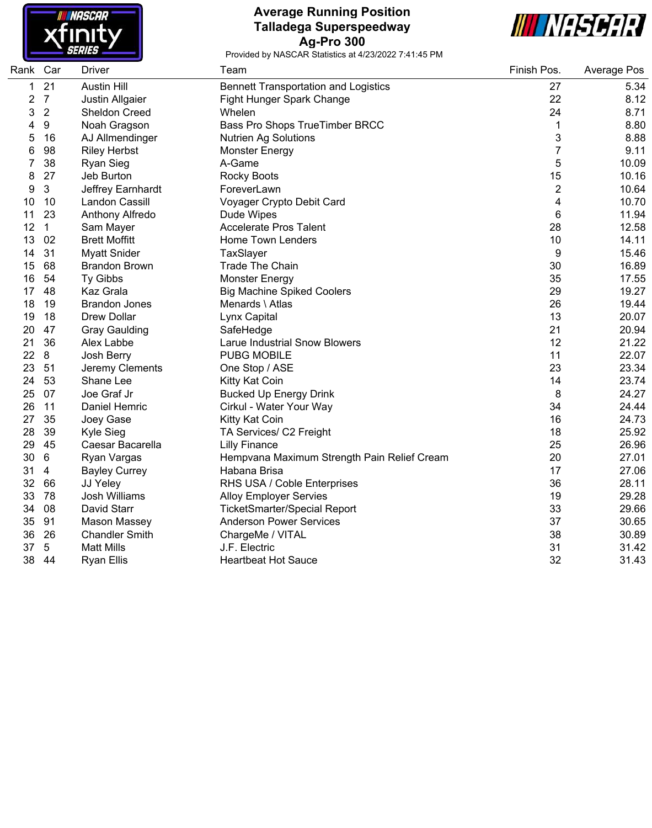

### **Average Running Position Talladega Superspeedway Ag-Pro 300**



| Rank Car |                | <b>Driver</b>         | Team                                        | Finish Pos.    | Average Pos |
|----------|----------------|-----------------------|---------------------------------------------|----------------|-------------|
| 1        | 21             | <b>Austin Hill</b>    | <b>Bennett Transportation and Logistics</b> | 27             | 5.34        |
| 2        | $\overline{7}$ | Justin Allgaier       | Fight Hunger Spark Change                   | 22             | 8.12        |
| 3        | $\overline{2}$ | Sheldon Creed         | Whelen                                      | 24             | 8.71        |
| 4        | 9              | Noah Gragson          | Bass Pro Shops TrueTimber BRCC              | 1              | 8.80        |
| 5        | 16             | AJ Allmendinger       | <b>Nutrien Ag Solutions</b>                 | 3              | 8.88        |
| 6        | 98             | <b>Riley Herbst</b>   | <b>Monster Energy</b>                       | $\overline{7}$ | 9.11        |
| 7        | 38             | <b>Ryan Sieg</b>      | A-Game                                      | 5              | 10.09       |
| 8        | 27             | Jeb Burton            | <b>Rocky Boots</b>                          | 15             | 10.16       |
| 9        | $\mathbf{3}$   | Jeffrey Earnhardt     | ForeverLawn                                 | $\overline{c}$ | 10.64       |
| 10       | 10             | Landon Cassill        | Voyager Crypto Debit Card                   | 4              | 10.70       |
| 11       | 23             | Anthony Alfredo       | Dude Wipes                                  | 6              | 11.94       |
| 12       | $\mathbf{1}$   | Sam Mayer             | <b>Accelerate Pros Talent</b>               | 28             | 12.58       |
| 13       | 02             | <b>Brett Moffitt</b>  | Home Town Lenders                           | 10             | 14.11       |
| 14       | 31             | <b>Myatt Snider</b>   | TaxSlayer                                   | 9              | 15.46       |
| 15       | 68             | <b>Brandon Brown</b>  | <b>Trade The Chain</b>                      | 30             | 16.89       |
| 16       | 54             | Ty Gibbs              | Monster Energy                              | 35             | 17.55       |
| 17       | 48             | Kaz Grala             | <b>Big Machine Spiked Coolers</b>           | 29             | 19.27       |
| 18       | 19             | <b>Brandon Jones</b>  | Menards \ Atlas                             | 26             | 19.44       |
| 19       | 18             | <b>Drew Dollar</b>    | Lynx Capital                                | 13             | 20.07       |
| 20       | 47             | <b>Gray Gaulding</b>  | SafeHedge                                   | 21             | 20.94       |
| 21       | 36             | Alex Labbe            | <b>Larue Industrial Snow Blowers</b>        | 12             | 21.22       |
| 22       | 8              | Josh Berry            | <b>PUBG MOBILE</b>                          | 11             | 22.07       |
| 23       | 51             | Jeremy Clements       | One Stop / ASE                              | 23             | 23.34       |
| 24       | 53             | Shane Lee             | Kitty Kat Coin                              | 14             | 23.74       |
| 25       | 07             | Joe Graf Jr           | <b>Bucked Up Energy Drink</b>               | 8              | 24.27       |
| 26       | 11             | Daniel Hemric         | Cirkul - Water Your Way                     | 34             | 24.44       |
| 27       | 35             | Joey Gase             | Kitty Kat Coin                              | 16             | 24.73       |
| 28       | 39             | Kyle Sieg             | TA Services/ C2 Freight                     | 18             | 25.92       |
| 29       | 45             | Caesar Bacarella      | <b>Lilly Finance</b>                        | 25             | 26.96       |
| 30       | 6              | Ryan Vargas           | Hempvana Maximum Strength Pain Relief Cream | 20             | 27.01       |
| 31       | 4              | <b>Bayley Currey</b>  | Habana Brisa                                | 17             | 27.06       |
| 32       | 66             | JJ Yeley              | RHS USA / Coble Enterprises                 | 36             | 28.11       |
| 33       | 78             | Josh Williams         | <b>Alloy Employer Servies</b>               | 19             | 29.28       |
| 34       | 08             | David Starr           | <b>TicketSmarter/Special Report</b>         | 33             | 29.66       |
| 35       | 91             | Mason Massey          | <b>Anderson Power Services</b>              | 37             | 30.65       |
| 36       | 26             | <b>Chandler Smith</b> | ChargeMe / VITAL                            | 38             | 30.89       |
| 37       | $\sqrt{5}$     | <b>Matt Mills</b>     | J.F. Electric                               | 31             | 31.42       |
| 38       | 44             | <b>Ryan Ellis</b>     | <b>Heartbeat Hot Sauce</b>                  | 32             | 31.43       |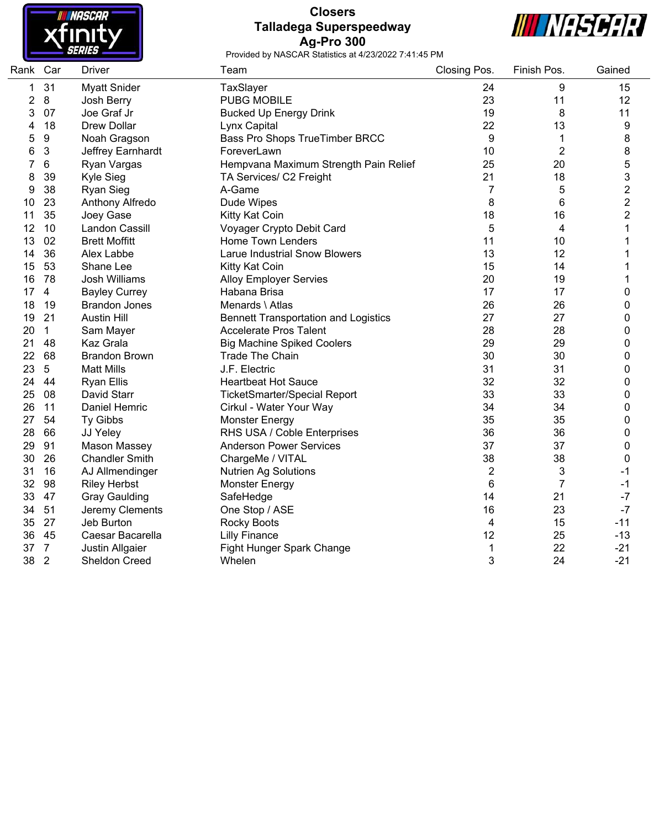

# **Closers Talladega Superspeedway Ag-Pro 300**



| Rank Car       |                | Driver                | Team                                        | Closing Pos.   | Finish Pos. | Gained         |
|----------------|----------------|-----------------------|---------------------------------------------|----------------|-------------|----------------|
| 1              | 31             | <b>Myatt Snider</b>   | TaxSlayer                                   | 24             | 9           | 15             |
| $\overline{c}$ | 8              | Josh Berry            | <b>PUBG MOBILE</b>                          | 23             | 11          | 12             |
| 3              | 07             | Joe Graf Jr           | <b>Bucked Up Energy Drink</b>               | 19             | 8           | 11             |
| 4              | 18             | <b>Drew Dollar</b>    | Lynx Capital                                | 22             | 13          | 9              |
| 5              | 9              | Noah Gragson          | Bass Pro Shops TrueTimber BRCC              | 9              | 1           | 8              |
| 6              | 3              | Jeffrey Earnhardt     | ForeverLawn                                 | 10             | 2           | 8              |
| 7              | 6              | Ryan Vargas           | Hempvana Maximum Strength Pain Relief       | 25             | 20          | 5              |
| 8              | 39             | Kyle Sieg             | TA Services/ C2 Freight                     | 21             | 18          | 3              |
| 9              | 38             | <b>Ryan Sieg</b>      | A-Game                                      | $\overline{7}$ | 5           | $\overline{2}$ |
| 10             | 23             | Anthony Alfredo       | Dude Wipes                                  | 8              | 6           | $\overline{2}$ |
| 11             | 35             | Joey Gase             | Kitty Kat Coin                              | 18             | 16          | 2              |
| 12             | 10             | Landon Cassill        | Voyager Crypto Debit Card                   | 5              | 4           | 1              |
| 13             | 02             | <b>Brett Moffitt</b>  | <b>Home Town Lenders</b>                    | 11             | 10          | 1              |
| 14             | 36             | Alex Labbe            | <b>Larue Industrial Snow Blowers</b>        | 13             | 12          | 1              |
| 15             | 53             | Shane Lee             | Kitty Kat Coin                              | 15             | 14          | 1              |
| 16             | 78             | Josh Williams         | <b>Alloy Employer Servies</b>               | 20             | 19          | 1              |
| 17             | $\overline{4}$ | <b>Bayley Currey</b>  | Habana Brisa                                | 17             | 17          | 0              |
| 18             | 19             | <b>Brandon Jones</b>  | Menards \ Atlas                             | 26             | 26          | 0              |
| 19             | 21             | <b>Austin Hill</b>    | <b>Bennett Transportation and Logistics</b> | 27             | 27          | 0              |
| 20             | $\mathbf{1}$   | Sam Mayer             | <b>Accelerate Pros Talent</b>               | 28             | 28          | 0              |
| 21             | 48             | Kaz Grala             | <b>Big Machine Spiked Coolers</b>           | 29             | 29          | 0              |
| 22             | 68             | <b>Brandon Brown</b>  | <b>Trade The Chain</b>                      | 30             | 30          | 0              |
| 23             | 5              | <b>Matt Mills</b>     | J.F. Electric                               | 31             | 31          | 0              |
| 24             | 44             | <b>Ryan Ellis</b>     | <b>Heartbeat Hot Sauce</b>                  | 32             | 32          | 0              |
| 25             | 08             | David Starr           | <b>TicketSmarter/Special Report</b>         | 33             | 33          | 0              |
| 26             | 11             | Daniel Hemric         | Cirkul - Water Your Way                     | 34             | 34          | 0              |
| 27             | 54             | Ty Gibbs              | <b>Monster Energy</b>                       | 35             | 35          | 0              |
| 28             | 66             | JJ Yeley              | RHS USA / Coble Enterprises                 | 36             | 36          | 0              |
| 29             | 91             | <b>Mason Massey</b>   | <b>Anderson Power Services</b>              | 37             | 37          | 0              |
| 30             | 26             | <b>Chandler Smith</b> | ChargeMe / VITAL                            | 38             | 38          | 0              |
| 31             | 16             | AJ Allmendinger       | <b>Nutrien Ag Solutions</b>                 | $\overline{2}$ | 3           | $-1$           |
| 32             | 98             | <b>Riley Herbst</b>   | <b>Monster Energy</b>                       | 6              | 7           | $-1$           |
| 33             | 47             | <b>Gray Gaulding</b>  | SafeHedge                                   | 14             | 21          | $-7$           |
| 34             | 51             | Jeremy Clements       | One Stop / ASE                              | 16             | 23          | $-7$           |
| 35             | 27             | Jeb Burton            | <b>Rocky Boots</b>                          | 4              | 15          | $-11$          |
| 36             | 45             | Caesar Bacarella      | <b>Lilly Finance</b>                        | 12             | 25          | $-13$          |
| 37             | $\overline{7}$ | Justin Allgaier       | Fight Hunger Spark Change                   | 1              | 22          | $-21$          |
| 38             | $\overline{2}$ | <b>Sheldon Creed</b>  | Whelen                                      | 3              | 24          | $-21$          |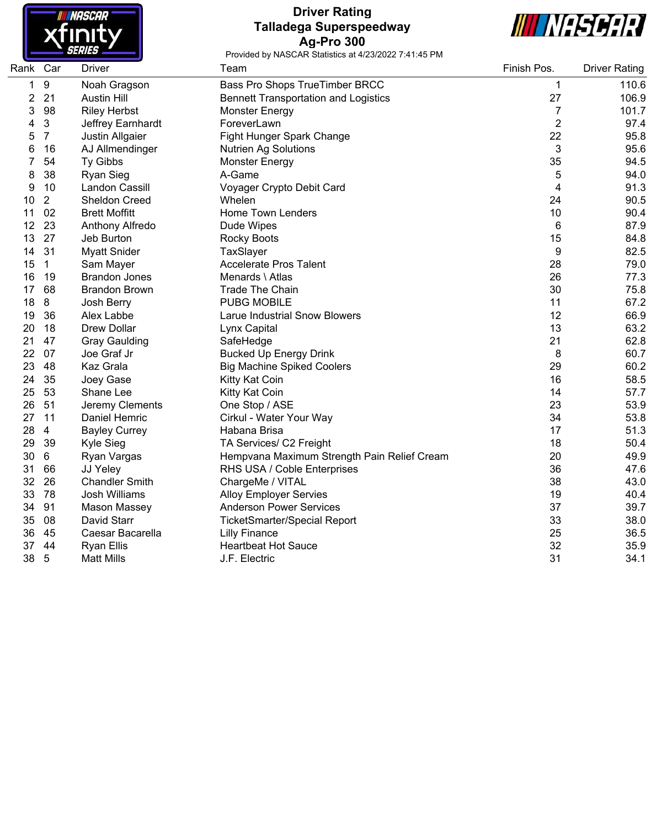

# **Driver Rating Talladega Superspeedway Ag-Pro 300**



| Rank Car |                | <b>Driver</b>         | Team                                        | Finish Pos.    | <b>Driver Rating</b> |
|----------|----------------|-----------------------|---------------------------------------------|----------------|----------------------|
| 1        | 9              | Noah Gragson          | Bass Pro Shops TrueTimber BRCC              | 1              | 110.6                |
| 2        | 21             | <b>Austin Hill</b>    | <b>Bennett Transportation and Logistics</b> | 27             | 106.9                |
| 3        | 98             | <b>Riley Herbst</b>   | Monster Energy                              | $\overline{7}$ | 101.7                |
| 4        | $\sqrt{3}$     | Jeffrey Earnhardt     | ForeverLawn                                 | $\overline{2}$ | 97.4                 |
| 5        | $\overline{7}$ | Justin Allgaier       | Fight Hunger Spark Change                   | 22             | 95.8                 |
| 6        | 16             | AJ Allmendinger       | <b>Nutrien Ag Solutions</b>                 | 3              | 95.6                 |
|          | 54             | Ty Gibbs              | <b>Monster Energy</b>                       | 35             | 94.5                 |
| 8        | 38             | <b>Ryan Sieg</b>      | A-Game                                      | 5              | 94.0                 |
| 9        | 10             | Landon Cassill        | Voyager Crypto Debit Card                   | 4              | 91.3                 |
| 10       | $\overline{2}$ | Sheldon Creed         | Whelen                                      | 24             | 90.5                 |
| 11       | 02             | <b>Brett Moffitt</b>  | <b>Home Town Lenders</b>                    | 10             | 90.4                 |
| 12       | 23             | Anthony Alfredo       | Dude Wipes                                  | 6              | 87.9                 |
| 13       | 27             | Jeb Burton            | Rocky Boots                                 | 15             | 84.8                 |
| 14       | 31             | <b>Myatt Snider</b>   | TaxSlayer                                   | 9              | 82.5                 |
| 15       | $\mathbf{1}$   | Sam Mayer             | <b>Accelerate Pros Talent</b>               | 28             | 79.0                 |
| 16       | 19             | <b>Brandon Jones</b>  | Menards \ Atlas                             | 26             | 77.3                 |
| 17       | 68             | <b>Brandon Brown</b>  | <b>Trade The Chain</b>                      | 30             | 75.8                 |
| 18       | 8              | Josh Berry            | <b>PUBG MOBILE</b>                          | 11             | 67.2                 |
| 19       | 36             | Alex Labbe            | <b>Larue Industrial Snow Blowers</b>        | 12             | 66.9                 |
| 20       | 18             | Drew Dollar           | Lynx Capital                                | 13             | 63.2                 |
| 21       | 47             | <b>Gray Gaulding</b>  | SafeHedge                                   | 21             | 62.8                 |
| 22       | 07             | Joe Graf Jr           | <b>Bucked Up Energy Drink</b>               | 8              | 60.7                 |
| 23       | 48             | Kaz Grala             | <b>Big Machine Spiked Coolers</b>           | 29             | 60.2                 |
| 24       | 35             | Joey Gase             | Kitty Kat Coin                              | 16             | 58.5                 |
| 25       | 53             | Shane Lee             | Kitty Kat Coin                              | 14             | 57.7                 |
| 26       | 51             | Jeremy Clements       | One Stop / ASE                              | 23             | 53.9                 |
| 27       | 11             | Daniel Hemric         | Cirkul - Water Your Way                     | 34             | 53.8                 |
| 28       | $\overline{4}$ | <b>Bayley Currey</b>  | Habana Brisa                                | 17             | 51.3                 |
| 29       | 39             | Kyle Sieg             | TA Services/ C2 Freight                     | 18             | 50.4                 |
| 30       | 6              | Ryan Vargas           | Hempvana Maximum Strength Pain Relief Cream | 20             | 49.9                 |
| 31       | 66             | JJ Yeley              | RHS USA / Coble Enterprises                 | 36             | 47.6                 |
| 32       | 26             | <b>Chandler Smith</b> | ChargeMe / VITAL                            | 38             | 43.0                 |
| 33       | 78             | Josh Williams         | <b>Alloy Employer Servies</b>               | 19             | 40.4                 |
| 34       | 91             | Mason Massey          | <b>Anderson Power Services</b>              | 37             | 39.7                 |
| 35       | 08             | David Starr           | <b>TicketSmarter/Special Report</b>         | 33             | 38.0                 |
| 36       | 45             | Caesar Bacarella      | <b>Lilly Finance</b>                        | 25             | 36.5                 |
| 37       | 44             | <b>Ryan Ellis</b>     | <b>Heartbeat Hot Sauce</b>                  | 32             | 35.9                 |
| 38       | $\overline{5}$ | <b>Matt Mills</b>     | J.F. Electric                               | 31             | 34.1                 |
|          |                |                       |                                             |                |                      |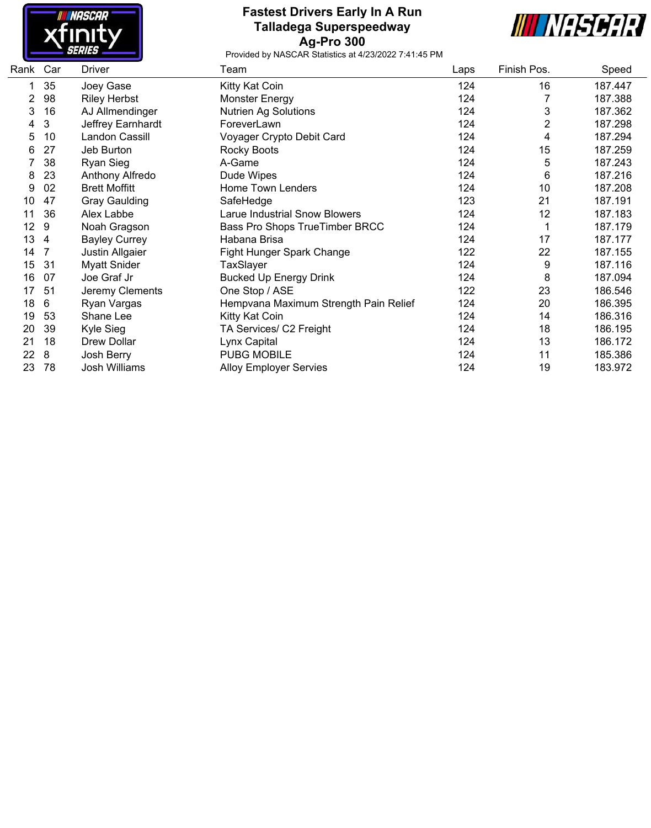

# **Fastest Drivers Early In A Run Talladega Superspeedway Ag-Pro 300**



| Rank Car |    | <b>Driver</b>        | Team                                  | Laps | Finish Pos. | Speed   |
|----------|----|----------------------|---------------------------------------|------|-------------|---------|
|          | 35 | Joey Gase            | Kitty Kat Coin                        | 124  | 16          | 187.447 |
| 2        | 98 | <b>Riley Herbst</b>  | Monster Energy                        | 124  |             | 187.388 |
| 3        | 16 | AJ Allmendinger      | <b>Nutrien Ag Solutions</b>           | 124  | 3           | 187.362 |
| 4        | 3  | Jeffrey Earnhardt    | ForeverLawn                           | 124  | 2           | 187.298 |
| 5        | 10 | Landon Cassill       | Voyager Crypto Debit Card             | 124  | 4           | 187.294 |
| 6        | 27 | Jeb Burton           | Rocky Boots                           | 124  | 15          | 187.259 |
|          | 38 | Ryan Sieg            | A-Game                                | 124  | 5           | 187.243 |
| 8        | 23 | Anthony Alfredo      | Dude Wipes                            | 124  | 6           | 187.216 |
| 9        | 02 | <b>Brett Moffitt</b> | Home Town Lenders                     | 124  | 10          | 187.208 |
| 10       | 47 | <b>Gray Gaulding</b> | SafeHedge                             | 123  | 21          | 187.191 |
| 11       | 36 | Alex Labbe           | Larue Industrial Snow Blowers         | 124  | 12          | 187.183 |
| 12       | 9  | Noah Gragson         | <b>Bass Pro Shops TrueTimber BRCC</b> | 124  |             | 187.179 |
| 13       | 4  | <b>Bayley Currey</b> | Habana Brisa                          | 124  | 17          | 187.177 |
| 14       | 7  | Justin Allgaier      | Fight Hunger Spark Change             | 122  | 22          | 187.155 |
| 15       | 31 | <b>Myatt Snider</b>  | TaxSlayer                             | 124  | 9           | 187.116 |
| 16       | 07 | Joe Graf Jr          | <b>Bucked Up Energy Drink</b>         | 124  | 8           | 187.094 |
| 17       | 51 | Jeremy Clements      | One Stop / ASE                        | 122  | 23          | 186.546 |
| 18       | 6  | Ryan Vargas          | Hempvana Maximum Strength Pain Relief | 124  | 20          | 186.395 |
| 19       | 53 | Shane Lee            | Kitty Kat Coin                        | 124  | 14          | 186.316 |
| 20       | 39 | Kyle Sieg            | TA Services/ C2 Freight               | 124  | 18          | 186.195 |
| 21       | 18 | Drew Dollar          | Lynx Capital                          | 124  | 13          | 186.172 |
| 22       | 8  | Josh Berry           | <b>PUBG MOBILE</b>                    | 124  | 11          | 185.386 |
| 23       | 78 | <b>Josh Williams</b> | <b>Alloy Employer Servies</b>         | 124  | 19          | 183.972 |
|          |    |                      |                                       |      |             |         |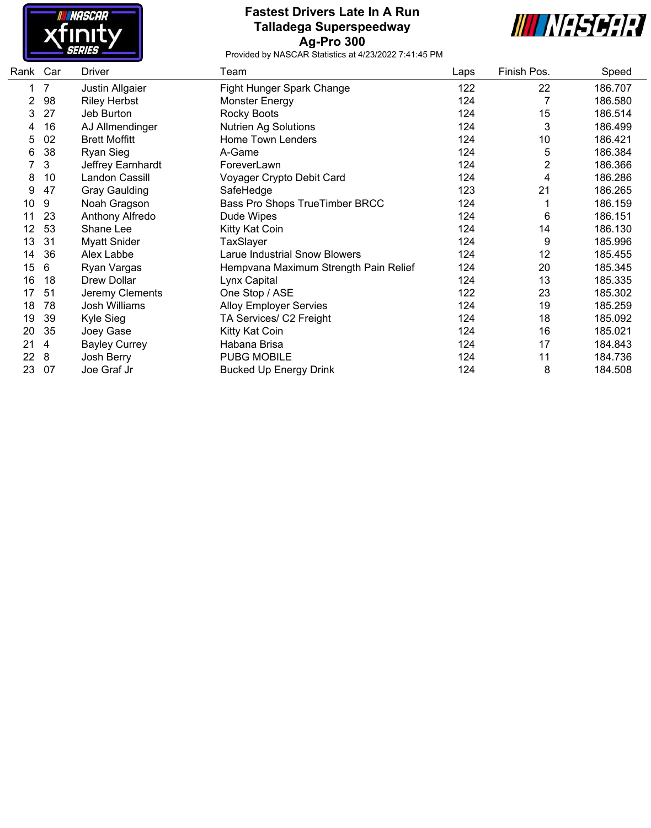

# **Fastest Drivers Late In A Run Talladega Superspeedway Ag-Pro 300**



| Rank Car |    | Driver               | Team                                  | Laps | Finish Pos.    | Speed   |
|----------|----|----------------------|---------------------------------------|------|----------------|---------|
| 1        | 7  | Justin Allgaier      | Fight Hunger Spark Change             | 122  | 22             | 186.707 |
| 2        | 98 | <b>Riley Herbst</b>  | <b>Monster Energy</b>                 | 124  | 7              | 186.580 |
| 3        | 27 | Jeb Burton           | Rocky Boots                           | 124  | 15             | 186.514 |
| 4        | 16 | AJ Allmendinger      | <b>Nutrien Ag Solutions</b>           | 124  | 3              | 186.499 |
| 5        | 02 | <b>Brett Moffitt</b> | Home Town Lenders                     | 124  | 10             | 186.421 |
| 6        | 38 | Ryan Sieg            | A-Game                                | 124  | 5              | 186.384 |
|          | 3  | Jeffrey Earnhardt    | ForeverLawn                           | 124  | $\overline{2}$ | 186.366 |
| 8        | 10 | Landon Cassill       | Voyager Crypto Debit Card             | 124  | 4              | 186.286 |
| 9        | 47 | <b>Gray Gaulding</b> | SafeHedge                             | 123  | 21             | 186.265 |
| 10       | 9  | Noah Gragson         | Bass Pro Shops TrueTimber BRCC        | 124  |                | 186.159 |
| 11       | 23 | Anthony Alfredo      | Dude Wipes                            | 124  | 6              | 186.151 |
| 12       | 53 | Shane Lee            | Kitty Kat Coin                        | 124  | 14             | 186.130 |
| 13       | 31 | <b>Myatt Snider</b>  | TaxSlayer                             | 124  | 9              | 185.996 |
| 14       | 36 | Alex Labbe           | <b>Larue Industrial Snow Blowers</b>  | 124  | 12             | 185.455 |
| 15       | 6  | Ryan Vargas          | Hempvana Maximum Strength Pain Relief | 124  | 20             | 185.345 |
| 16       | 18 | Drew Dollar          | Lynx Capital                          | 124  | 13             | 185.335 |
| 17       | 51 | Jeremy Clements      | One Stop / ASE                        | 122  | 23             | 185.302 |
| 18       | 78 | Josh Williams        | <b>Alloy Employer Servies</b>         | 124  | 19             | 185.259 |
| 19       | 39 | Kyle Sieg            | TA Services/ C2 Freight               | 124  | 18             | 185.092 |
| 20       | 35 | Joey Gase            | Kitty Kat Coin                        | 124  | 16             | 185.021 |
| 21       | 4  | <b>Bayley Currey</b> | Habana Brisa                          | 124  | 17             | 184.843 |
| 22       | 8  | Josh Berry           | <b>PUBG MOBILE</b>                    | 124  | 11             | 184.736 |
| 23       | 07 | Joe Graf Jr          | <b>Bucked Up Energy Drink</b>         | 124  | 8              | 184.508 |
|          |    |                      |                                       |      |                |         |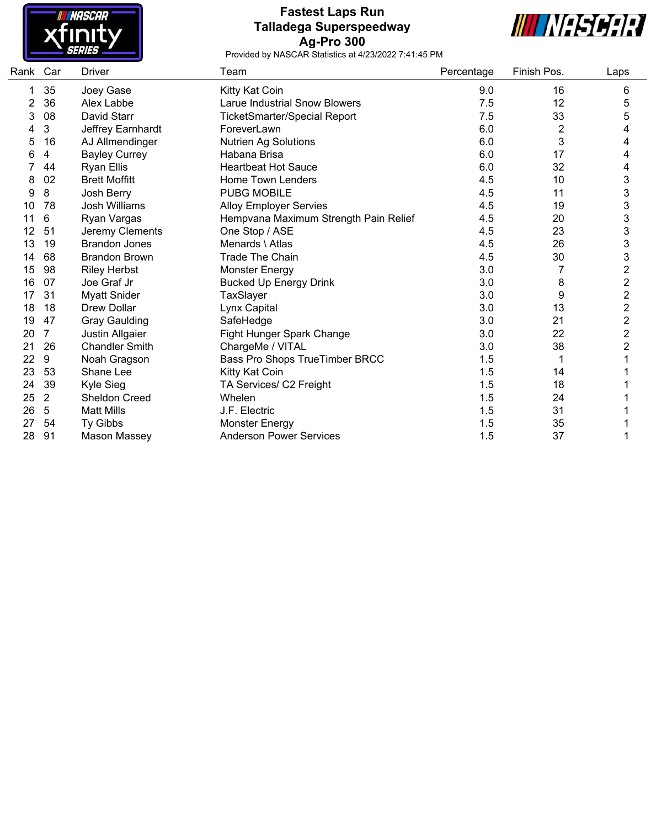

### **Fastest Laps Run Talladega Superspeedway Ag-Pro 300**



| Rank | Car            | <b>Driver</b>         | Team                                  | Percentage | Finish Pos. | Laps                    |
|------|----------------|-----------------------|---------------------------------------|------------|-------------|-------------------------|
|      | 35             | Joey Gase             | Kitty Kat Coin                        | 9.0        | 16          | 6                       |
| 2    | 36             | Alex Labbe            | <b>Larue Industrial Snow Blowers</b>  | 7.5        | 12          | 5                       |
| 3    | 08             | David Starr           | <b>TicketSmarter/Special Report</b>   | 7.5        | 33          | 5                       |
|      | 3              | Jeffrey Earnhardt     | ForeverLawn                           | 6.0        | 2           | 4                       |
| 5    | 16             | AJ Allmendinger       | Nutrien Ag Solutions                  | 6.0        | 3           | 4                       |
| 6    | 4              | <b>Bayley Currey</b>  | Habana Brisa                          | 6.0        | 17          | 4                       |
|      | 44             | <b>Ryan Ellis</b>     | <b>Heartbeat Hot Sauce</b>            | 6.0        | 32          | 4                       |
| 8    | 02             | <b>Brett Moffitt</b>  | Home Town Lenders                     | 4.5        | 10          | 3                       |
| 9    | 8              | Josh Berry            | <b>PUBG MOBILE</b>                    | 4.5        | 11          | 3                       |
| 10   | 78             | <b>Josh Williams</b>  | <b>Alloy Employer Servies</b>         | 4.5        | 19          | 3                       |
| 11   | 6              | Ryan Vargas           | Hempvana Maximum Strength Pain Relief | 4.5        | 20          | 3                       |
| 12   | 51             | Jeremy Clements       | One Stop / ASE                        | 4.5        | 23          | 3                       |
| 13   | 19             | <b>Brandon Jones</b>  | Menards \ Atlas                       | 4.5        | 26          | 3                       |
| 14   | 68             | <b>Brandon Brown</b>  | <b>Trade The Chain</b>                | 4.5        | 30          | 3                       |
| 15   | 98             | <b>Riley Herbst</b>   | <b>Monster Energy</b>                 | 3.0        |             | $\overline{c}$          |
| 16   | 07             | Joe Graf Jr           | <b>Bucked Up Energy Drink</b>         | 3.0        | 8           | $\overline{\mathbf{c}}$ |
| 17   | 31             | <b>Myatt Snider</b>   | TaxSlayer                             | 3.0        | 9           | $\overline{\mathbf{c}}$ |
| 18   | 18             | <b>Drew Dollar</b>    | Lynx Capital                          | 3.0        | 13          | $\overline{\mathbf{c}}$ |
| 19   | 47             | <b>Gray Gaulding</b>  | SafeHedge                             | 3.0        | 21          | $\overline{\mathbf{c}}$ |
| 20   | 7              | Justin Allgaier       | Fight Hunger Spark Change             | 3.0        | 22          | $\overline{\mathbf{c}}$ |
| 21   | 26             | <b>Chandler Smith</b> | ChargeMe / VITAL                      | 3.0        | 38          | 2                       |
| 22   | 9              | Noah Gragson          | Bass Pro Shops TrueTimber BRCC        | 1.5        |             |                         |
| 23   | 53             | Shane Lee             | Kitty Kat Coin                        | 1.5        | 14          |                         |
| 24   | 39             | Kyle Sieg             | TA Services/ C2 Freight               | 1.5        | 18          |                         |
| 25   | $\overline{2}$ | <b>Sheldon Creed</b>  | Whelen                                | 1.5        | 24          |                         |
| 26   | 5              | <b>Matt Mills</b>     | J.F. Electric                         | 1.5        | 31          |                         |
| 27   | 54             | Ty Gibbs              | <b>Monster Energy</b>                 | 1.5        | 35          |                         |
| 28   | 91             | <b>Mason Massey</b>   | <b>Anderson Power Services</b>        | 1.5        | 37          |                         |
|      |                |                       |                                       |            |             |                         |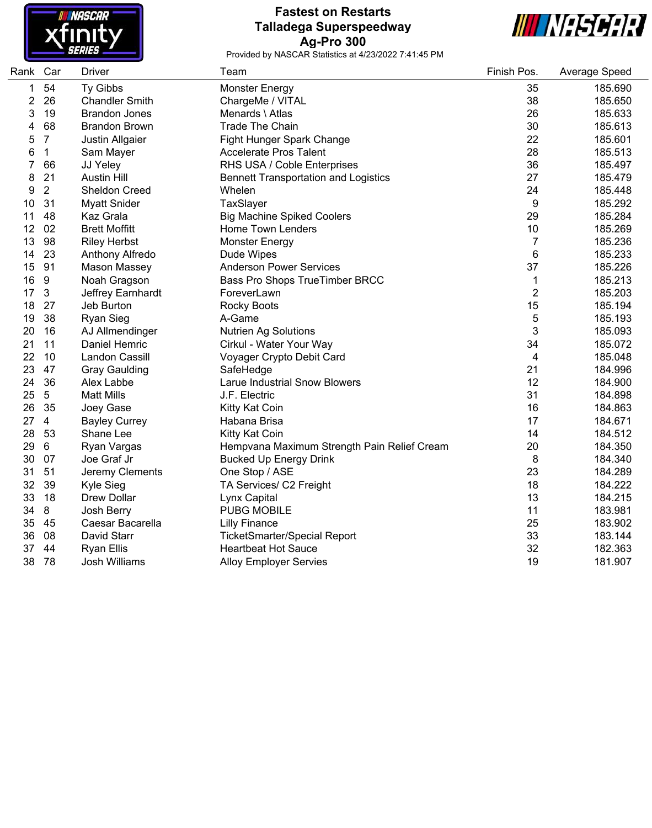

### **Fastest on Restarts Talladega Superspeedway Ag-Pro 300**



| Rank | Car            | Driver                | Team                                        | Finish Pos.    | Average Speed |
|------|----------------|-----------------------|---------------------------------------------|----------------|---------------|
| 1    | 54             | Ty Gibbs              | <b>Monster Energy</b>                       | 35             | 185.690       |
| 2    | 26             | <b>Chandler Smith</b> | ChargeMe / VITAL                            | 38             | 185.650       |
| 3    | 19             | <b>Brandon Jones</b>  | Menards \ Atlas                             | 26             | 185.633       |
| 4    | 68             | <b>Brandon Brown</b>  | <b>Trade The Chain</b>                      | 30             | 185.613       |
| 5    | $\overline{7}$ | Justin Allgaier       | Fight Hunger Spark Change                   | 22             | 185.601       |
| 6    | $\mathbf 1$    | Sam Mayer             | <b>Accelerate Pros Talent</b>               | 28             | 185.513       |
| 7    | 66             | JJ Yeley              | RHS USA / Coble Enterprises                 | 36             | 185.497       |
| 8    | 21             | <b>Austin Hill</b>    | <b>Bennett Transportation and Logistics</b> | 27             | 185.479       |
| 9    | $\overline{2}$ | <b>Sheldon Creed</b>  | Whelen                                      | 24             | 185.448       |
| 10   | 31             | <b>Myatt Snider</b>   | TaxSlayer                                   | 9              | 185.292       |
| 11   | 48             | <b>Kaz Grala</b>      | <b>Big Machine Spiked Coolers</b>           | 29             | 185.284       |
| 12   | 02             | <b>Brett Moffitt</b>  | Home Town Lenders                           | 10             | 185.269       |
| 13   | 98             | <b>Riley Herbst</b>   | <b>Monster Energy</b>                       | $\overline{7}$ | 185.236       |
| 14   | 23             | Anthony Alfredo       | Dude Wipes                                  | 6              | 185.233       |
| 15   | 91             | <b>Mason Massey</b>   | <b>Anderson Power Services</b>              | 37             | 185.226       |
| 16   | 9              | Noah Gragson          | Bass Pro Shops TrueTimber BRCC              | $\mathbf{1}$   | 185.213       |
| 17   | 3              | Jeffrey Earnhardt     | ForeverLawn                                 | $\overline{2}$ | 185.203       |
| 18   | 27             | Jeb Burton            | <b>Rocky Boots</b>                          | 15             | 185.194       |
| 19   | 38             | <b>Ryan Sieg</b>      | A-Game                                      | 5              | 185.193       |
| 20   | 16             | AJ Allmendinger       | <b>Nutrien Ag Solutions</b>                 | 3              | 185.093       |
| 21   | 11             | Daniel Hemric         | Cirkul - Water Your Way                     | 34             | 185.072       |
| 22   | 10             | Landon Cassill        | Voyager Crypto Debit Card                   | 4              | 185.048       |
| 23   | 47             | <b>Gray Gaulding</b>  | SafeHedge                                   | 21             | 184.996       |
| 24   | 36             | Alex Labbe            | <b>Larue Industrial Snow Blowers</b>        | 12             | 184.900       |
| 25   | $\sqrt{5}$     | <b>Matt Mills</b>     | J.F. Electric                               | 31             | 184.898       |
| 26   | 35             | Joey Gase             | Kitty Kat Coin                              | 16             | 184.863       |
| 27   | $\overline{4}$ | <b>Bayley Currey</b>  | Habana Brisa                                | 17             | 184.671       |
| 28   | 53             | Shane Lee             | Kitty Kat Coin                              | 14             | 184.512       |
| 29   | 6              | Ryan Vargas           | Hempvana Maximum Strength Pain Relief Cream | 20             | 184.350       |
| 30   | 07             | Joe Graf Jr           | <b>Bucked Up Energy Drink</b>               | 8              | 184.340       |
| 31   | 51             | Jeremy Clements       | One Stop / ASE                              | 23             | 184.289       |
| 32   | 39             | Kyle Sieg             | TA Services/ C2 Freight                     | 18             | 184.222       |
| 33   | 18             | Drew Dollar           | Lynx Capital                                | 13             | 184.215       |
| 34   | 8              | Josh Berry            | <b>PUBG MOBILE</b>                          | 11             | 183.981       |
| 35   | 45             | Caesar Bacarella      | <b>Lilly Finance</b>                        | 25             | 183.902       |
| 36   | 08             | David Starr           | <b>TicketSmarter/Special Report</b>         | 33             | 183.144       |
| 37   | 44             | <b>Ryan Ellis</b>     | <b>Heartbeat Hot Sauce</b>                  | 32             | 182.363       |
| 38   | 78             | <b>Josh Williams</b>  | <b>Alloy Employer Servies</b>               | 19             | 181.907       |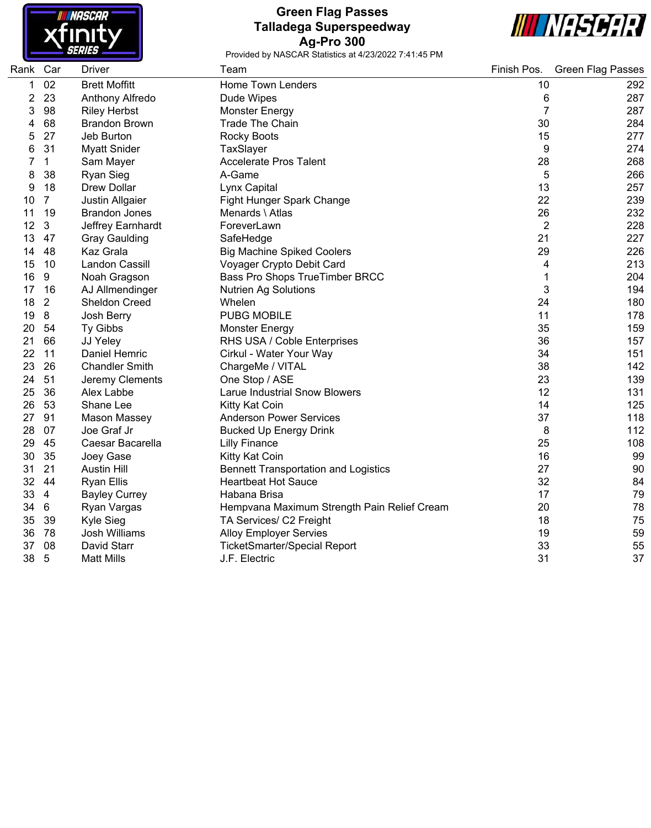

# **Green Flag Passes Talladega Superspeedway Ag-Pro 300**



| Rank Car |                | <b>Driver</b>         | Team                                        | Finish Pos.    | <b>Green Flag Passes</b> |
|----------|----------------|-----------------------|---------------------------------------------|----------------|--------------------------|
| 1        | 02             | <b>Brett Moffitt</b>  | Home Town Lenders                           | 10             | 292                      |
| 2        | 23             | Anthony Alfredo       | Dude Wipes                                  | 6              | 287                      |
| 3        | 98             | <b>Riley Herbst</b>   | <b>Monster Energy</b>                       | $\overline{7}$ | 287                      |
| 4        | 68             | <b>Brandon Brown</b>  | <b>Trade The Chain</b>                      | 30             | 284                      |
| 5        | 27             | Jeb Burton            | <b>Rocky Boots</b>                          | 15             | 277                      |
| 6        | 31             | <b>Myatt Snider</b>   | TaxSlayer                                   | 9              | 274                      |
| 7        | $\mathbf{1}$   | Sam Mayer             | <b>Accelerate Pros Talent</b>               | 28             | 268                      |
| 8        | 38             | <b>Ryan Sieg</b>      | A-Game                                      | 5              | 266                      |
| 9        | 18             | <b>Drew Dollar</b>    | Lynx Capital                                | 13             | 257                      |
| 10       | $\overline{7}$ | Justin Allgaier       | Fight Hunger Spark Change                   | 22             | 239                      |
| 11       | 19             | <b>Brandon Jones</b>  | Menards \ Atlas                             | 26             | 232                      |
| 12       | 3              | Jeffrey Earnhardt     | ForeverLawn                                 | $\overline{2}$ | 228                      |
| 13       | 47             | <b>Gray Gaulding</b>  | SafeHedge                                   | 21             | 227                      |
| 14       | 48             | Kaz Grala             | <b>Big Machine Spiked Coolers</b>           | 29             | 226                      |
| 15       | 10             | Landon Cassill        | Voyager Crypto Debit Card                   | 4              | 213                      |
| 16       | 9              | Noah Gragson          | Bass Pro Shops TrueTimber BRCC              | 1              | 204                      |
| 17       | 16             | AJ Allmendinger       | <b>Nutrien Ag Solutions</b>                 | 3              | 194                      |
| 18       | $\overline{2}$ | <b>Sheldon Creed</b>  | Whelen                                      | 24             | 180                      |
| 19       | 8              | Josh Berry            | <b>PUBG MOBILE</b>                          | 11             | 178                      |
| 20       | 54             | Ty Gibbs              | <b>Monster Energy</b>                       | 35             | 159                      |
| 21       | 66             | JJ Yeley              | RHS USA / Coble Enterprises                 | 36             | 157                      |
| 22       | 11             | Daniel Hemric         | Cirkul - Water Your Way                     | 34             | 151                      |
| 23       | 26             | <b>Chandler Smith</b> | ChargeMe / VITAL                            | 38             | 142                      |
| 24       | 51             | Jeremy Clements       | One Stop / ASE                              | 23             | 139                      |
| 25       | 36             | Alex Labbe            | <b>Larue Industrial Snow Blowers</b>        | 12             | 131                      |
| 26       | 53             | Shane Lee             | Kitty Kat Coin                              | 14             | 125                      |
| 27       | 91             | Mason Massey          | <b>Anderson Power Services</b>              | 37             | 118                      |
| 28       | 07             | Joe Graf Jr           | <b>Bucked Up Energy Drink</b>               | 8              | 112                      |
| 29       | 45             | Caesar Bacarella      | <b>Lilly Finance</b>                        | 25             | 108                      |
| 30       | 35             | Joey Gase             | Kitty Kat Coin                              | 16             | 99                       |
| 31       | 21             | <b>Austin Hill</b>    | <b>Bennett Transportation and Logistics</b> | 27             | 90                       |
| 32       | 44             | <b>Ryan Ellis</b>     | <b>Heartbeat Hot Sauce</b>                  | 32             | 84                       |
| 33       | $\overline{4}$ | <b>Bayley Currey</b>  | Habana Brisa                                | 17             | 79                       |
| 34       | 6              | Ryan Vargas           | Hempvana Maximum Strength Pain Relief Cream | 20             | 78                       |
| 35       | 39             | Kyle Sieg             | TA Services/ C2 Freight                     | 18             | 75                       |
| 36       | 78             | Josh Williams         | <b>Alloy Employer Servies</b>               | 19             | 59                       |
| 37       | 08             | David Starr           | <b>TicketSmarter/Special Report</b>         | 33             | 55                       |
| 38       | 5              | <b>Matt Mills</b>     | J.F. Electric                               | 31             | 37                       |
|          |                |                       |                                             |                |                          |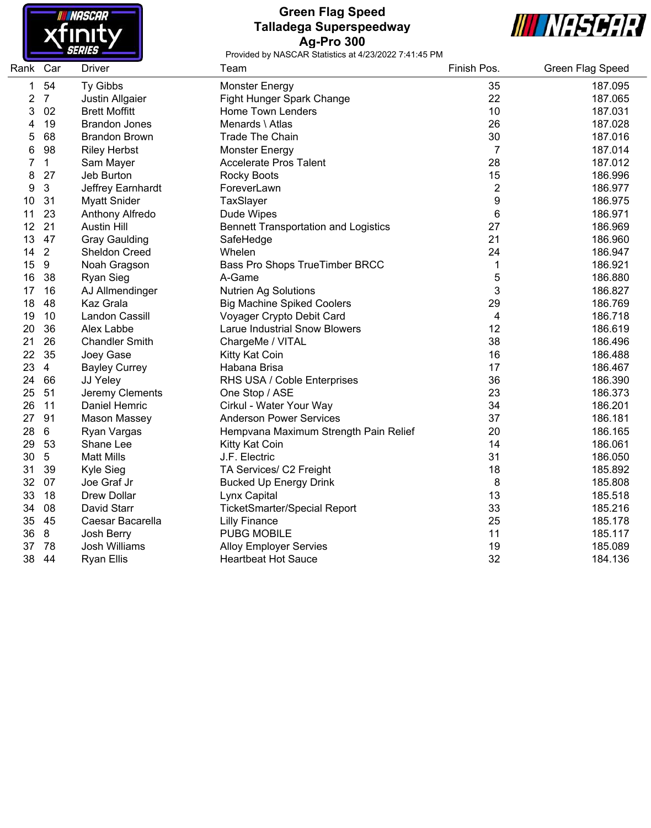

### **Green Flag Speed Talladega Superspeedway Ag-Pro 300**



| Rank Car |                | Driver                | Team                                        | Finish Pos.    | <b>Green Flag Speed</b> |
|----------|----------------|-----------------------|---------------------------------------------|----------------|-------------------------|
| 1        | 54             | Ty Gibbs              | <b>Monster Energy</b>                       | 35             | 187.095                 |
| 2        | $\overline{7}$ | Justin Allgaier       | Fight Hunger Spark Change                   | 22             | 187.065                 |
| 3        | 02             | <b>Brett Moffitt</b>  | Home Town Lenders                           | 10             | 187.031                 |
| 4        | 19             | <b>Brandon Jones</b>  | Menards \ Atlas                             | 26             | 187.028                 |
| 5        | 68             | <b>Brandon Brown</b>  | <b>Trade The Chain</b>                      | 30             | 187.016                 |
| 6        | 98             | <b>Riley Herbst</b>   | <b>Monster Energy</b>                       | $\overline{7}$ | 187.014                 |
| 7        | $\mathbf 1$    | Sam Mayer             | <b>Accelerate Pros Talent</b>               | 28             | 187.012                 |
| 8        | 27             | Jeb Burton            | Rocky Boots                                 | 15             | 186.996                 |
| 9        | $\sqrt{3}$     | Jeffrey Earnhardt     | ForeverLawn                                 | $\mathbf{2}$   | 186.977                 |
| 10       | 31             | <b>Myatt Snider</b>   | TaxSlayer                                   | 9              | 186.975                 |
| 11       | 23             | Anthony Alfredo       | Dude Wipes                                  | 6              | 186.971                 |
| 12       | 21             | <b>Austin Hill</b>    | <b>Bennett Transportation and Logistics</b> | 27             | 186.969                 |
| 13       | 47             | <b>Gray Gaulding</b>  | SafeHedge                                   | 21             | 186.960                 |
| 14       | $\overline{2}$ | Sheldon Creed         | Whelen                                      | 24             | 186.947                 |
| 15       | $9\,$          | Noah Gragson          | Bass Pro Shops TrueTimber BRCC              | 1              | 186.921                 |
| 16       | 38             | Ryan Sieg             | A-Game                                      | 5              | 186.880                 |
| 17       | 16             | AJ Allmendinger       | <b>Nutrien Ag Solutions</b>                 | 3              | 186.827                 |
| 18       | 48             | Kaz Grala             | <b>Big Machine Spiked Coolers</b>           | 29             | 186.769                 |
| 19       | 10             | Landon Cassill        | Voyager Crypto Debit Card                   | 4              | 186.718                 |
| 20       | 36             | Alex Labbe            | <b>Larue Industrial Snow Blowers</b>        | 12             | 186.619                 |
| 21       | 26             | <b>Chandler Smith</b> | ChargeMe / VITAL                            | 38             | 186.496                 |
| 22       | 35             | Joey Gase             | Kitty Kat Coin                              | 16             | 186.488                 |
| 23       | $\overline{4}$ | <b>Bayley Currey</b>  | Habana Brisa                                | 17             | 186.467                 |
| 24       | 66             | JJ Yeley              | RHS USA / Coble Enterprises                 | 36             | 186.390                 |
| 25       | 51             | Jeremy Clements       | One Stop / ASE                              | 23             | 186.373                 |
| 26       | 11             | Daniel Hemric         | Cirkul - Water Your Way                     | 34             | 186.201                 |
| 27       | 91             | Mason Massey          | <b>Anderson Power Services</b>              | 37             | 186.181                 |
| 28       | $6\phantom{1}$ | Ryan Vargas           | Hempvana Maximum Strength Pain Relief       | 20             | 186.165                 |
| 29       | 53             | Shane Lee             | Kitty Kat Coin                              | 14             | 186.061                 |
| 30       | 5              | <b>Matt Mills</b>     | J.F. Electric                               | 31             | 186.050                 |
| 31       | 39             | Kyle Sieg             | TA Services/ C2 Freight                     | 18             | 185.892                 |
| 32       | 07             | Joe Graf Jr           | <b>Bucked Up Energy Drink</b>               | 8              | 185.808                 |
| 33       | 18             | <b>Drew Dollar</b>    | Lynx Capital                                | 13             | 185.518                 |
| 34       | 08             | David Starr           | <b>TicketSmarter/Special Report</b>         | 33             | 185.216                 |
| 35       | 45             | Caesar Bacarella      | <b>Lilly Finance</b>                        | 25             | 185.178                 |
| 36       | 8              | Josh Berry            | <b>PUBG MOBILE</b>                          | 11             | 185.117                 |
| 37       | 78             | <b>Josh Williams</b>  | <b>Alloy Employer Servies</b>               | 19             | 185.089                 |
| 38       | 44             | <b>Ryan Ellis</b>     | <b>Heartbeat Hot Sauce</b>                  | 32             | 184.136                 |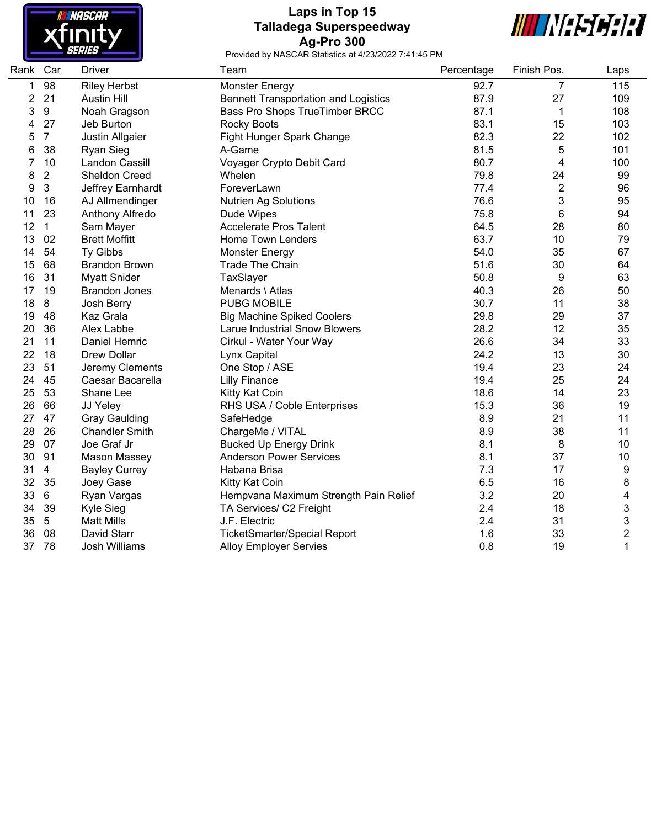

# **Laps in Top 15 Talladega Superspeedway Ag-Pro 300**



| Rank | Car            | <b>Driver</b>         | Team                                        | Percentage | Finish Pos.    | Laps                    |
|------|----------------|-----------------------|---------------------------------------------|------------|----------------|-------------------------|
| 1    | 98             | <b>Riley Herbst</b>   | <b>Monster Energy</b>                       | 92.7       | $\overline{7}$ | 115                     |
| 2    | 21             | <b>Austin Hill</b>    | <b>Bennett Transportation and Logistics</b> | 87.9       | 27             | 109                     |
| 3    | 9              | Noah Gragson          | Bass Pro Shops TrueTimber BRCC              | 87.1       | 1              | 108                     |
| 4    | 27             | Jeb Burton            | <b>Rocky Boots</b>                          | 83.1       | 15             | 103                     |
| 5    | $\overline{7}$ | Justin Allgaier       | Fight Hunger Spark Change                   | 82.3       | 22             | 102                     |
| 6    | 38             | <b>Ryan Sieg</b>      | A-Game                                      | 81.5       | 5              | 101                     |
| 7    | 10             | Landon Cassill        | Voyager Crypto Debit Card                   | 80.7       | $\overline{4}$ | 100                     |
| 8    | $\overline{c}$ | <b>Sheldon Creed</b>  | Whelen                                      | 79.8       | 24             | 99                      |
| 9    | $\mathbf{3}$   | Jeffrey Earnhardt     | ForeverLawn                                 | 77.4       | $\overline{2}$ | 96                      |
| 10   | 16             | AJ Allmendinger       | <b>Nutrien Ag Solutions</b>                 | 76.6       | 3              | 95                      |
| 11   | 23             | Anthony Alfredo       | Dude Wipes                                  | 75.8       | 6              | 94                      |
| 12   | $\mathbf{1}$   | Sam Mayer             | <b>Accelerate Pros Talent</b>               | 64.5       | 28             | 80                      |
| 13   | 02             | <b>Brett Moffitt</b>  | <b>Home Town Lenders</b>                    | 63.7       | 10             | 79                      |
| 14   | 54             | Ty Gibbs              | <b>Monster Energy</b>                       | 54.0       | 35             | 67                      |
| 15   | 68             | <b>Brandon Brown</b>  | <b>Trade The Chain</b>                      | 51.6       | 30             | 64                      |
| 16   | 31             | <b>Myatt Snider</b>   | TaxSlayer                                   | 50.8       | 9              | 63                      |
| 17   | 19             | <b>Brandon Jones</b>  | Menards \ Atlas                             | 40.3       | 26             | 50                      |
| 18   | 8              | Josh Berry            | <b>PUBG MOBILE</b>                          | 30.7       | 11             | 38                      |
| 19   | 48             | Kaz Grala             | <b>Big Machine Spiked Coolers</b>           | 29.8       | 29             | 37                      |
| 20   | 36             | Alex Labbe            | <b>Larue Industrial Snow Blowers</b>        | 28.2       | 12             | 35                      |
| 21   | 11             | Daniel Hemric         | Cirkul - Water Your Way                     | 26.6       | 34             | 33                      |
| 22   | 18             | <b>Drew Dollar</b>    | Lynx Capital                                | 24.2       | 13             | 30                      |
| 23   | 51             | Jeremy Clements       | One Stop / ASE                              | 19.4       | 23             | 24                      |
| 24   | 45             | Caesar Bacarella      | <b>Lilly Finance</b>                        | 19.4       | 25             | 24                      |
| 25   | 53             | Shane Lee             | Kitty Kat Coin                              | 18.6       | 14             | 23                      |
| 26   | 66             | JJ Yeley              | RHS USA / Coble Enterprises                 | 15.3       | 36             | 19                      |
| 27   | 47             | <b>Gray Gaulding</b>  | SafeHedge                                   | 8.9        | 21             | 11                      |
| 28   | 26             | <b>Chandler Smith</b> | ChargeMe / VITAL                            | 8.9        | 38             | 11                      |
| 29   | 07             | Joe Graf Jr           | <b>Bucked Up Energy Drink</b>               | 8.1        | 8              | 10                      |
| 30   | 91             | Mason Massey          | <b>Anderson Power Services</b>              | 8.1        | 37             | 10                      |
| 31   | $\overline{4}$ | <b>Bayley Currey</b>  | Habana Brisa                                | 7.3        | 17             | 9                       |
| 32   | 35             | Joey Gase             | Kitty Kat Coin                              | 6.5        | 16             | 8                       |
| 33   | $6\phantom{1}$ | Ryan Vargas           | Hempvana Maximum Strength Pain Relief       | 3.2        | 20             | 4                       |
| 34   | 39             | Kyle Sieg             | TA Services/ C2 Freight                     | 2.4        | 18             | 3                       |
| 35   | $\sqrt{5}$     | <b>Matt Mills</b>     | J.F. Electric                               | 2.4        | 31             | 3                       |
| 36   | 08             | David Starr           | <b>TicketSmarter/Special Report</b>         | 1.6        | 33             | $\overline{\mathbf{c}}$ |
| 37   | 78             | Josh Williams         | <b>Alloy Employer Servies</b>               | 0.8        | 19             | 1                       |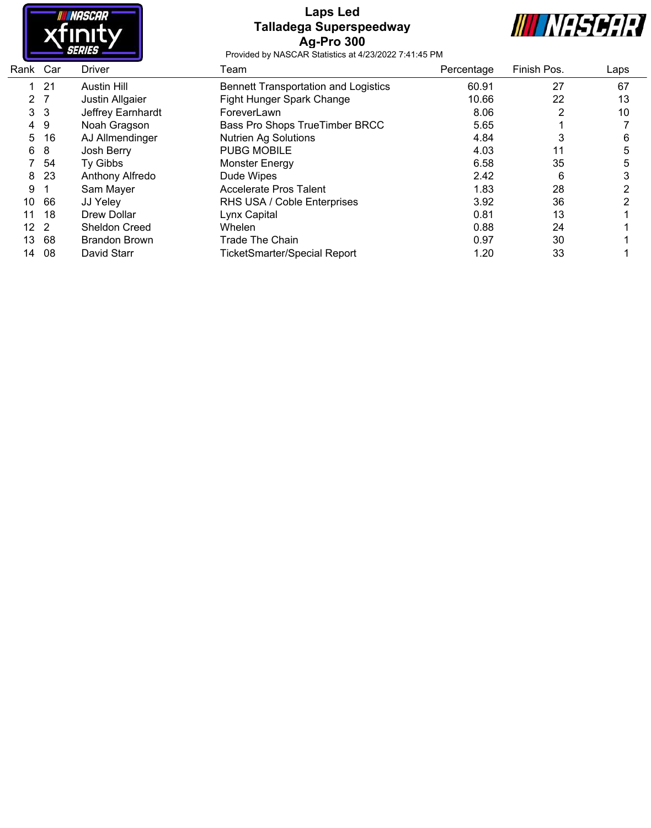

### **Laps Led Talladega Superspeedway Ag-Pro 300**



| Rank Car       | <b>Driver</b>        | Team                                        | Percentage | Finish Pos. | Laps |
|----------------|----------------------|---------------------------------------------|------------|-------------|------|
| -21            | Austin Hill          | <b>Bennett Transportation and Logistics</b> | 60.91      | 27          | 67   |
| 2 <sub>7</sub> | Justin Allgaier      | Fight Hunger Spark Change                   | 10.66      | 22          | 13   |
| 3 <sub>3</sub> | Jeffrey Earnhardt    | ForeverLawn                                 | 8.06       | 2           | 10   |
| -9             | Noah Gragson         | Bass Pro Shops True Timber BRCC             | 5.65       |             |      |
| 16             | AJ Allmendinger      | <b>Nutrien Ag Solutions</b>                 | 4.84       | 3           | 6    |
| 8              | Josh Berry           | <b>PUBG MOBILE</b>                          | 4.03       | 11          | 5    |
| 54             | Ty Gibbs             | <b>Monster Energy</b>                       | 6.58       | 35          | 5    |
| 23             | Anthony Alfredo      | Dude Wipes                                  | 2.42       | 6           |      |
|                | Sam Mayer            | Accelerate Pros Talent                      | 1.83       | 28          |      |
| 66             | JJ Yeley             | RHS USA / Coble Enterprises                 | 3.92       | 36          | 2    |
| 18             | Drew Dollar          | Lynx Capital                                | 0.81       | 13          |      |
| $\overline{2}$ | <b>Sheldon Creed</b> | <b>Whelen</b>                               | 0.88       | 24          |      |
| 68             | <b>Brandon Brown</b> | <b>Trade The Chain</b>                      | 0.97       | 30          |      |
| 08             | David Starr          | <b>TicketSmarter/Special Report</b>         | 1.20       | 33          |      |
|                |                      |                                             |            |             |      |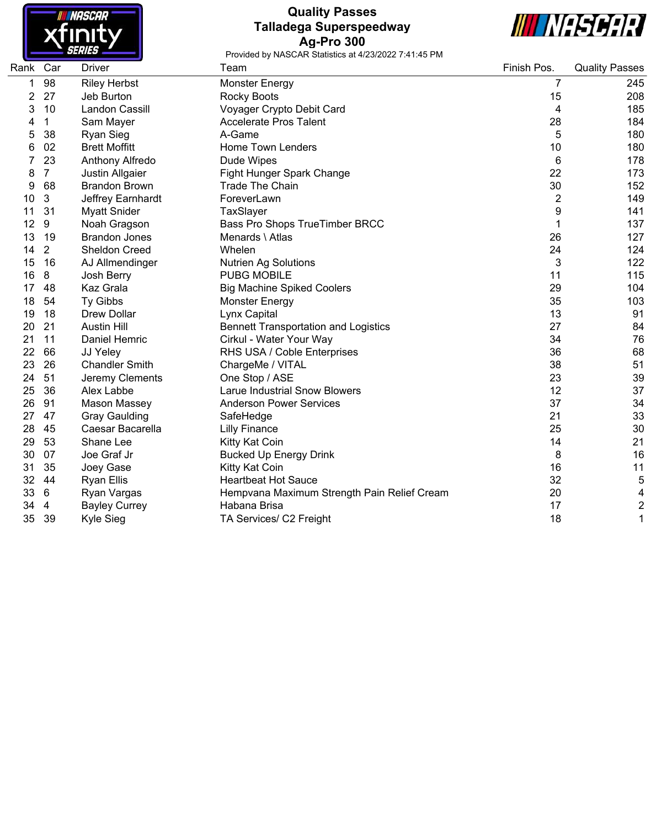

# **Quality Passes Talladega Superspeedway Ag-Pro 300**



| Rank | Car            | <b>Driver</b>         | Team                                        | Finish Pos.    | <b>Quality Passes</b> |
|------|----------------|-----------------------|---------------------------------------------|----------------|-----------------------|
| 1    | 98             | <b>Riley Herbst</b>   | <b>Monster Energy</b>                       | 7              | 245                   |
| 2    | 27             | Jeb Burton            | <b>Rocky Boots</b>                          | 15             | 208                   |
| 3    | 10             | Landon Cassill        | Voyager Crypto Debit Card                   | 4              | 185                   |
|      | 1              | Sam Mayer             | <b>Accelerate Pros Talent</b>               | 28             | 184                   |
| 5    | 38             | <b>Ryan Sieg</b>      | A-Game                                      | 5              | 180                   |
| 6    | 02             | <b>Brett Moffitt</b>  | <b>Home Town Lenders</b>                    | 10             | 180                   |
| 7    | 23             | Anthony Alfredo       | Dude Wipes                                  | 6              | 178                   |
| 8    | $\overline{7}$ | Justin Allgaier       | Fight Hunger Spark Change                   | 22             | 173                   |
| 9    | 68             | <b>Brandon Brown</b>  | <b>Trade The Chain</b>                      | 30             | 152                   |
| 10   | $\mathbf{3}$   | Jeffrey Earnhardt     | ForeverLawn                                 | $\overline{2}$ | 149                   |
| 11   | 31             | <b>Myatt Snider</b>   | TaxSlayer                                   | 9              | 141                   |
| 12   | 9              | Noah Gragson          | Bass Pro Shops TrueTimber BRCC              | 1              | 137                   |
| 13   | 19             | <b>Brandon Jones</b>  | Menards \ Atlas                             | 26             | 127                   |
| 14   | $\overline{2}$ | <b>Sheldon Creed</b>  | Whelen                                      | 24             | 124                   |
| 15   | 16             | AJ Allmendinger       | <b>Nutrien Ag Solutions</b>                 | 3              | 122                   |
| 16   | 8              | Josh Berry            | <b>PUBG MOBILE</b>                          | 11             | 115                   |
| 17   | 48             | Kaz Grala             | <b>Big Machine Spiked Coolers</b>           | 29             | 104                   |
| 18   | 54             | Ty Gibbs              | <b>Monster Energy</b>                       | 35             | 103                   |
| 19   | 18             | <b>Drew Dollar</b>    | Lynx Capital                                | 13             | 91                    |
| 20   | 21             | <b>Austin Hill</b>    | <b>Bennett Transportation and Logistics</b> | 27             | 84                    |
| 21   | 11             | Daniel Hemric         | Cirkul - Water Your Way                     | 34             | 76                    |
| 22   | 66             | JJ Yeley              | RHS USA / Coble Enterprises                 | 36             | 68                    |
| 23   | 26             | <b>Chandler Smith</b> | ChargeMe / VITAL                            | 38             | 51                    |
| 24   | 51             | Jeremy Clements       | One Stop / ASE                              | 23             | 39                    |
| 25   | 36             | Alex Labbe            | <b>Larue Industrial Snow Blowers</b>        | 12             | 37                    |
| 26   | 91             | <b>Mason Massey</b>   | <b>Anderson Power Services</b>              | 37             | 34                    |
| 27   | 47             | <b>Gray Gaulding</b>  | SafeHedge                                   | 21             | 33                    |
| 28   | 45             | Caesar Bacarella      | <b>Lilly Finance</b>                        | 25             | 30                    |
| 29   | 53             | Shane Lee             | Kitty Kat Coin                              | 14             | 21                    |
| 30   | 07             | Joe Graf Jr           | <b>Bucked Up Energy Drink</b>               | 8              | 16                    |
| 31   | 35             | Joey Gase             | Kitty Kat Coin                              | 16             | 11                    |
| 32   | 44             | <b>Ryan Ellis</b>     | <b>Heartbeat Hot Sauce</b>                  | 32             | 5                     |
| 33   | 6              | Ryan Vargas           | Hempvana Maximum Strength Pain Relief Cream | 20             | 4                     |
| 34   | $\overline{4}$ | <b>Bayley Currey</b>  | Habana Brisa                                | 17             | $\overline{2}$        |
| 35   | 39             | <b>Kyle Sieg</b>      | TA Services/ C2 Freight                     | 18             | 1                     |